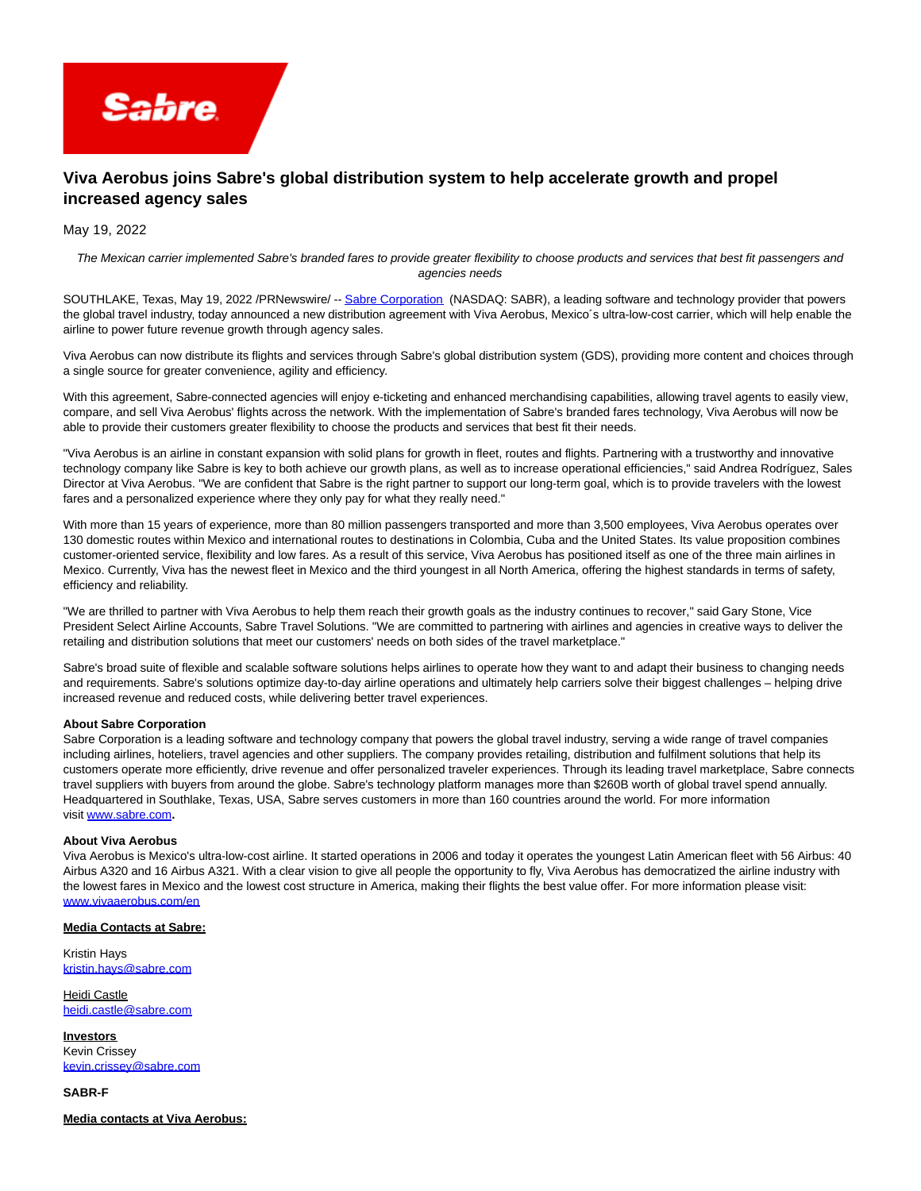

# **Viva Aerobus joins Sabre's global distribution system to help accelerate growth and propel increased agency sales**

## May 19, 2022

The Mexican carrier implemented Sabre's branded fares to provide greater flexibility to choose products and services that best fit passengers and agencies needs

SOUTHLAKE, Texas, May 19, 2022 /PRNewswire/ -[- Sabre Corporation](https://c212.net/c/link/?t=0&l=en&o=3542553-1&h=4004205075&u=http%3A%2F%2Fwww.sabre.com%2F&a=Sabre+Corporation) (NASDAQ: SABR), a leading software and technology provider that powers the global travel industry, today announced a new distribution agreement with Viva Aerobus, Mexico´s ultra-low-cost carrier, which will help enable the airline to power future revenue growth through agency sales.

Viva Aerobus can now distribute its flights and services through Sabre's global distribution system (GDS), providing more content and choices through a single source for greater convenience, agility and efficiency.

With this agreement, Sabre-connected agencies will enjoy e-ticketing and enhanced merchandising capabilities, allowing travel agents to easily view, compare, and sell Viva Aerobus' flights across the network. With the implementation of Sabre's branded fares technology, Viva Aerobus will now be able to provide their customers greater flexibility to choose the products and services that best fit their needs.

"Viva Aerobus is an airline in constant expansion with solid plans for growth in fleet, routes and flights. Partnering with a trustworthy and innovative technology company like Sabre is key to both achieve our growth plans, as well as to increase operational efficiencies," said Andrea Rodríguez, Sales Director at Viva Aerobus. "We are confident that Sabre is the right partner to support our long-term goal, which is to provide travelers with the lowest fares and a personalized experience where they only pay for what they really need."

With more than 15 years of experience, more than 80 million passengers transported and more than 3,500 employees, Viva Aerobus operates over 130 domestic routes within Mexico and international routes to destinations in Colombia, Cuba and the United States. Its value proposition combines customer-oriented service, flexibility and low fares. As a result of this service, Viva Aerobus has positioned itself as one of the three main airlines in Mexico. Currently, Viva has the newest fleet in Mexico and the third youngest in all North America, offering the highest standards in terms of safety, efficiency and reliability.

"We are thrilled to partner with Viva Aerobus to help them reach their growth goals as the industry continues to recover," said Gary Stone, Vice President Select Airline Accounts, Sabre Travel Solutions. "We are committed to partnering with airlines and agencies in creative ways to deliver the retailing and distribution solutions that meet our customers' needs on both sides of the travel marketplace."

Sabre's broad suite of flexible and scalable software solutions helps airlines to operate how they want to and adapt their business to changing needs and requirements. Sabre's solutions optimize day-to-day airline operations and ultimately help carriers solve their biggest challenges – helping drive increased revenue and reduced costs, while delivering better travel experiences.

#### **About Sabre Corporation**

Sabre Corporation is a leading software and technology company that powers the global travel industry, serving a wide range of travel companies including airlines, hoteliers, travel agencies and other suppliers. The company provides retailing, distribution and fulfilment solutions that help its customers operate more efficiently, drive revenue and offer personalized traveler experiences. Through its leading travel marketplace, Sabre connects travel suppliers with buyers from around the globe. Sabre's technology platform manages more than \$260B worth of global travel spend annually. Headquartered in Southlake, Texas, USA, Sabre serves customers in more than 160 countries around the world. For more information visit [www.sabre.com](https://c212.net/c/link/?t=0&l=en&o=3542553-1&h=2992618632&u=http%3A%2F%2Fwww.sabre.com%2F&a=www.sabre.com)**.**

### **About Viva Aerobus**

Viva Aerobus is Mexico's ultra-low-cost airline. It started operations in 2006 and today it operates the youngest Latin American fleet with 56 Airbus: 40 Airbus A320 and 16 Airbus A321. With a clear vision to give all people the opportunity to fly, Viva Aerobus has democratized the airline industry with the lowest fares in Mexico and the lowest cost structure in America, making their flights the best value offer. For more information please visit: [www.vivaaerobus.com/en](https://c212.net/c/link/?t=0&l=en&o=3542553-1&h=3230368978&u=http%3A%2F%2Fwww.vivaaerobus.com%2Fen&a=www.vivaaerobus.com%2Fen)

#### **Media Contacts at Sabre:**

Kristin Hays [kristin.hays@sabre.com](mailto:kristin.hays@sabre.com)

Heidi Castle [heidi.castle@sabre.com](mailto:heidi.castle@sabre.com)

**Investors** Kevin Crissey [kevin.crissey@sabre.com](mailto:kevin.crissey@sabre.com)

**SABR-F**

**Media contacts at Viva Aerobus:**